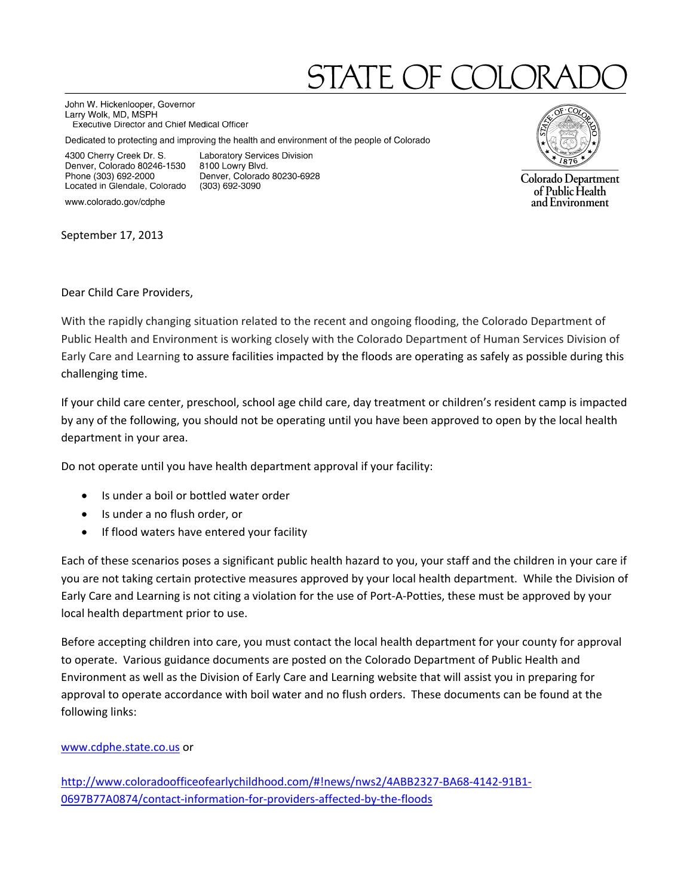## STATE OF CC

John W. Hickenlooper, Governor Larry Wolk, MD, MSPH Executive Director and Chief Medical Officer

Dedicated to protecting and improving the health and environment of the people of Colorado

8100 Lowry Blvd.

(303) 692-3090

Laboratory Services Division

Denver, Colorado 80230-6928

4300 Cherry Creek Dr. S. Denver, Colorado 80246-1530 Phone (303) 692-2000 Located in Glendale, Colorado

www.colorado.gov/cdphe

September 17, 2013



Colorado Department of Public Health and Environment

Dear Child Care Providers,

With the rapidly changing situation related to the recent and ongoing flooding, the Colorado Department of Public Health and Environment is working closely with the Colorado Department of Human Services Division of Early Care and Learning to assure facilities impacted by the floods are operating as safely as possible during this challenging time.

If your child care center, preschool, school age child care, day treatment or children's resident camp is impacted by any of the following, you should not be operating until you have been approved to open by the local health department in your area.

Do not operate until you have health department approval if your facility:

- Is under a boil or bottled water order
- Is under a no flush order, or
- If flood waters have entered your facility

Each of these scenarios poses a significant public health hazard to you, your staff and the children in your care if you are not taking certain protective measures approved by your local health department. While the Division of Early Care and Learning is not citing a violation for the use of Port‐A‐Potties, these must be approved by your local health department prior to use.

Before accepting children into care, you must contact the local health department for your county for approval to operate. Various guidance documents are posted on the Colorado Department of Public Health and Environment as well as the Division of Early Care and Learning website that will assist you in preparing for approval to operate accordance with boil water and no flush orders. These documents can be found at the following links:

## www.cdphe.state.co.us or

http://www.coloradoofficeofearlychildhood.com/#!news/nws2/4ABB2327‐BA68‐4142‐91B1‐ 0697B77A0874/contact‐information‐for‐providers‐affected‐by‐the‐floods